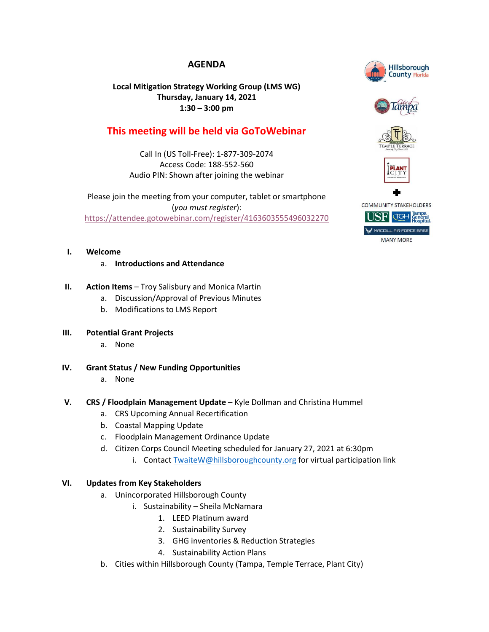## **AGENDA**

## **Local Mitigation Strategy Working Group (LMS WG) Thursday, January 14, 2021 1:30 – 3:00 pm**

# **This meeting will be held via GoToWebinar**

Call In (US Toll-Free): 1-877-309-2074 Access Code: 188-552-560 Audio PIN: Shown after joining the webinar

Please join the meeting from your computer, tablet or smartphone (*you must register*): <https://attendee.gotowebinar.com/register/4163603555496032270>

## **I. Welcome**

## a. **Introductions and Attendance**

- **II.** Action Items Troy Salisbury and Monica Martin
	- a. Discussion/Approval of Previous Minutes
	- b. Modifications to LMS Report

### **III. Potential Grant Projects**

- a. None
- **IV. Grant Status / New Funding Opportunities**

### a. None

## **V. CRS / Floodplain Management Update** – Kyle Dollman and Christina Hummel

- a. CRS Upcoming Annual Recertification
- b. Coastal Mapping Update
- c. Floodplain Management Ordinance Update
- d. Citizen Corps Council Meeting scheduled for January 27, 2021 at 6:30pm
	- i. Contact [TwaiteW@hillsboroughcounty.org](mailto:TwaiteW@hillsboroughcounty.org) for virtual participation link

## **VI. Updates from Key Stakeholders**

- a. Unincorporated Hillsborough County
	- i. Sustainability Sheila McNamara
		- 1. LEED Platinum award
		- 2. Sustainability Survey
		- 3. GHG inventories & Reduction Strategies
		- 4. Sustainability Action Plans
- b. Cities within Hillsborough County (Tampa, Temple Terrace, Plant City)



**MANY MORE**